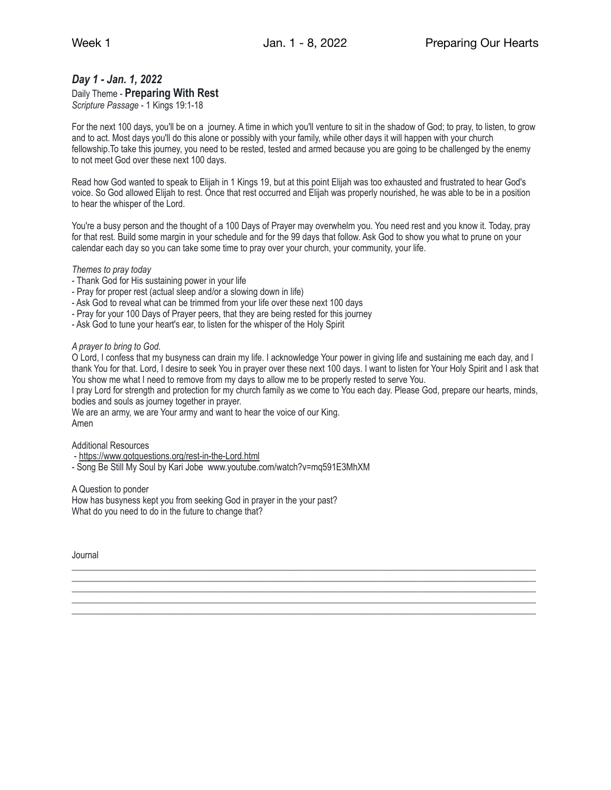# *Day 1 - Jan. 1, 2022*

## Daily Theme - **Preparing With Rest**

*Scripture Passage* - 1 Kings 19:1-18

For the next 100 days, you'll be on a journey. A time in which you'll venture to sit in the shadow of God; to pray, to listen, to grow and to act. Most days you'll do this alone or possibly with your family, while other days it will happen with your church fellowship.To take this journey, you need to be rested, tested and armed because you are going to be challenged by the enemy to not meet God over these next 100 days.

Read how God wanted to speak to Elijah in 1 Kings 19, but at this point Elijah was too exhausted and frustrated to hear God's voice. So God allowed Elijah to rest. Once that rest occurred and Elijah was properly nourished, he was able to be in a position to hear the whisper of the Lord.

You're a busy person and the thought of a 100 Days of Prayer may overwhelm you. You need rest and you know it. Today, pray for that rest. Build some margin in your schedule and for the 99 days that follow. Ask God to show you what to prune on your calendar each day so you can take some time to pray over your church, your community, your life.

*Themes to pray today*

- Thank God for His sustaining power in your life
- Pray for proper rest (actual sleep and/or a slowing down in life)
- Ask God to reveal what can be trimmed from your life over these next 100 days
- Pray for your 100 Days of Prayer peers, that they are being rested for this journey
- Ask God to tune your heart's ear, to listen for the whisper of the Holy Spirit

#### *A prayer to bring to God.*

O Lord, I confess that my busyness can drain my life. I acknowledge Your power in giving life and sustaining me each day, and I thank You for that. Lord, I desire to seek You in prayer over these next 100 days. I want to listen for Your Holy Spirit and I ask that You show me what I need to remove from my days to allow me to be properly rested to serve You.

I pray Lord for strength and protection for my church family as we come to You each day. Please God, prepare our hearts, minds, bodies and souls as journey together in prayer.

\_\_\_\_\_\_\_\_\_\_\_\_\_\_\_\_\_\_\_\_\_\_\_\_\_\_\_\_\_\_\_\_\_\_\_\_\_\_\_\_\_\_\_\_\_\_\_\_\_\_\_\_\_\_\_\_\_\_\_\_\_\_\_\_\_\_\_\_\_\_\_\_\_\_\_\_\_\_\_\_\_\_\_\_\_\_\_\_\_\_\_\_\_\_\_\_\_\_\_\_\_\_ \_\_\_\_\_\_\_\_\_\_\_\_\_\_\_\_\_\_\_\_\_\_\_\_\_\_\_\_\_\_\_\_\_\_\_\_\_\_\_\_\_\_\_\_\_\_\_\_\_\_\_\_\_\_\_\_\_\_\_\_\_\_\_\_\_\_\_\_\_\_\_\_\_\_\_\_\_\_\_\_\_\_\_\_\_\_\_\_\_\_\_\_\_\_\_\_\_\_\_\_\_\_ \_\_\_\_\_\_\_\_\_\_\_\_\_\_\_\_\_\_\_\_\_\_\_\_\_\_\_\_\_\_\_\_\_\_\_\_\_\_\_\_\_\_\_\_\_\_\_\_\_\_\_\_\_\_\_\_\_\_\_\_\_\_\_\_\_\_\_\_\_\_\_\_\_\_\_\_\_\_\_\_\_\_\_\_\_\_\_\_\_\_\_\_\_\_\_\_\_\_\_\_\_\_ \_\_\_\_\_\_\_\_\_\_\_\_\_\_\_\_\_\_\_\_\_\_\_\_\_\_\_\_\_\_\_\_\_\_\_\_\_\_\_\_\_\_\_\_\_\_\_\_\_\_\_\_\_\_\_\_\_\_\_\_\_\_\_\_\_\_\_\_\_\_\_\_\_\_\_\_\_\_\_\_\_\_\_\_\_\_\_\_\_\_\_\_\_\_\_\_\_\_\_\_\_\_ \_\_\_\_\_\_\_\_\_\_\_\_\_\_\_\_\_\_\_\_\_\_\_\_\_\_\_\_\_\_\_\_\_\_\_\_\_\_\_\_\_\_\_\_\_\_\_\_\_\_\_\_\_\_\_\_\_\_\_\_\_\_\_\_\_\_\_\_\_\_\_\_\_\_\_\_\_\_\_\_\_\_\_\_\_\_\_\_\_\_\_\_\_\_\_\_\_\_\_\_\_\_

We are an army, we are Your army and want to hear the voice of our King. Amen

Additional Resources

- -<https://www.gotquestions.org/rest-in-the-Lord.html>
- Song Be Still My Soul by Kari Jobe www.youtube.com/watch?v=mq591E3MhXM

A Question to ponder

How has busyness kept you from seeking God in prayer in the your past? What do you need to do in the future to change that?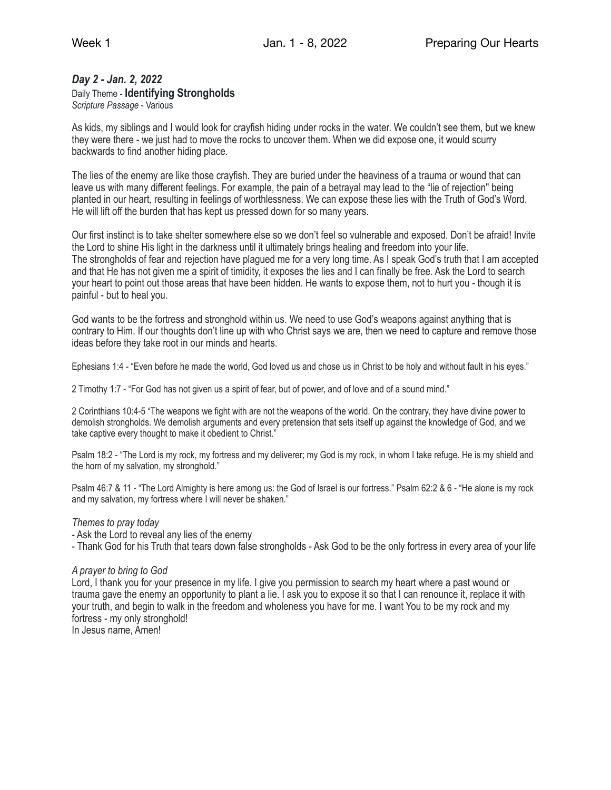# *Day 2 - Jan. 2, 2022*

Daily Theme - **Identifying Strongholds** 

*Scripture Passage* - Various

As kids, my siblings and I would look for crayfish hiding under rocks in the water. We couldn't see them, but we knew they were there - we just had to move the rocks to uncover them. When we did expose one, it would scurry backwards to find another hiding place.

The lies of the enemy are like those crayfish. They are buried under the heaviness of a trauma or wound that can leave us with many different feelings. For example, the pain of a betrayal may lead to the "lie of rejection" being planted in our heart, resulting in feelings of worthlessness. We can expose these lies with the Truth of God's Word. He will lift off the burden that has kept us pressed down for so many years.

Our first instinct is to take shelter somewhere else so we don't feel so vulnerable and exposed. Don't be afraid! Invite the Lord to shine His light in the darkness until it ultimately brings healing and freedom into your life. The strongholds of fear and rejection have plagued me for a very long time. As I speak God's truth that I am accepted and that He has not given me a spirit of timidity, it exposes the lies and I can finally be free. Ask the Lord to search your heart to point out those areas that have been hidden. He wants to expose them, not to hurt you - though it is painful - but to heal you.

God wants to be the fortress and stronghold within us. We need to use God's weapons against anything that is contrary to Him. If our thoughts don't line up with who Christ says we are, then we need to capture and remove those ideas before they take root in our minds and hearts.

Ephesians 1:4 - "Even before he made the world, God loved us and chose us in Christ to be holy and without fault in his eyes."

2 Timothy 1:7 - "For God has not given us a spirit of fear, but of power, and of love and of a sound mind."

2 Corinthians 10:4-5 "The weapons we fight with are not the weapons of the world. On the contrary, they have divine power to demolish strongholds. We demolish arguments and every pretension that sets itself up against the knowledge of God, and we take captive every thought to make it obedient to Christ."

Psalm 18:2 - "The Lord is my rock, my fortress and my deliverer; my God is my rock, in whom I take refuge. He is my shield and the horn of my salvation, my stronghold."

Psalm 46:7 & 11 - "The Lord Almighty is here among us: the God of Israel is our fortress." Psalm 62:2 & 6 - "He alone is my rock and my salvation, my fortress where I will never be shaken."

## *Themes to pray today*

- Ask the Lord to reveal any lies of the enemy

- Thank God for his Truth that tears down false strongholds - Ask God to be the only fortress in every area of your life

## *A prayer to bring to God*

Lord, I thank you for your presence in my life. I give you permission to search my heart where a past wound or trauma gave the enemy an opportunity to plant a lie. I ask you to expose it so that I can renounce it, replace it with your truth, and begin to walk in the freedom and wholeness you have for me. I want You to be my rock and my fortress - my only stronghold!

In Jesus name, Amen!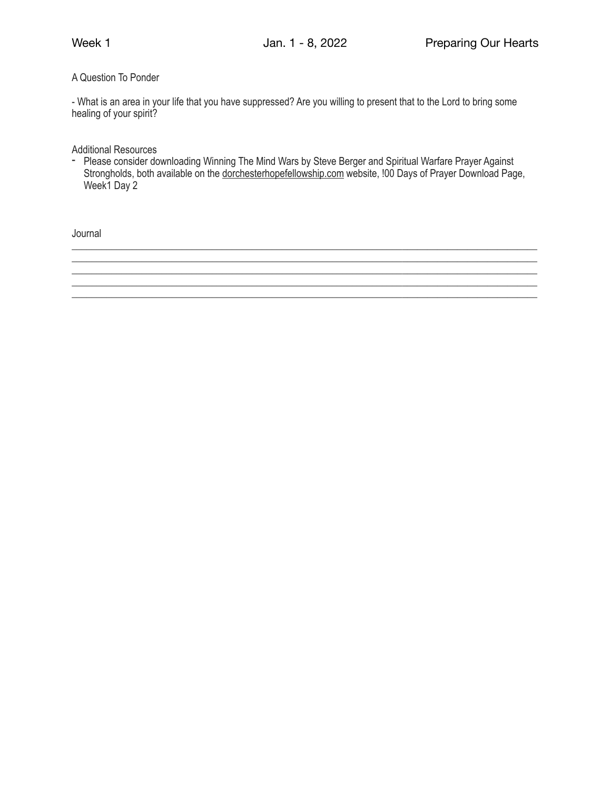## A Question To Ponder

- What is an area in your life that you have suppressed? Are you willing to present that to the Lord to bring some healing of your spirit?

Additional Resources

- Please consider downloading Winning The Mind Wars by Steve Berger and Spiritual Warfare Prayer Against Strongholds, both available on the [dorchesterhopefellowship.com](http://dorchesterhopefellowship.com) website, !00 Days of Prayer Download Page, Week1 Day 2

\_\_\_\_\_\_\_\_\_\_\_\_\_\_\_\_\_\_\_\_\_\_\_\_\_\_\_\_\_\_\_\_\_\_\_\_\_\_\_\_\_\_\_\_\_\_\_\_\_\_\_\_\_\_\_\_\_\_\_\_\_\_\_\_\_\_\_\_\_\_\_\_\_\_\_\_\_\_\_\_\_\_\_\_\_\_\_\_\_\_\_\_\_ \_\_\_\_\_\_\_\_\_\_\_\_\_\_\_\_\_\_\_\_\_\_\_\_\_\_\_\_\_\_\_\_\_\_\_\_\_\_\_\_\_\_\_\_\_\_\_\_\_\_\_\_\_\_\_\_\_\_\_\_\_\_\_\_\_\_\_\_\_\_\_\_\_\_\_\_\_\_\_\_\_\_\_\_\_\_\_\_\_\_\_\_\_

\_\_\_\_\_\_\_\_\_\_\_\_\_\_\_\_\_\_\_\_\_\_\_\_\_\_\_\_\_\_\_\_\_\_\_\_\_\_\_\_\_\_\_\_\_\_\_\_\_\_\_\_\_\_\_\_\_\_\_\_\_\_\_\_\_\_\_\_\_\_\_\_\_\_\_\_\_\_\_\_\_\_\_\_\_\_\_\_\_\_\_\_\_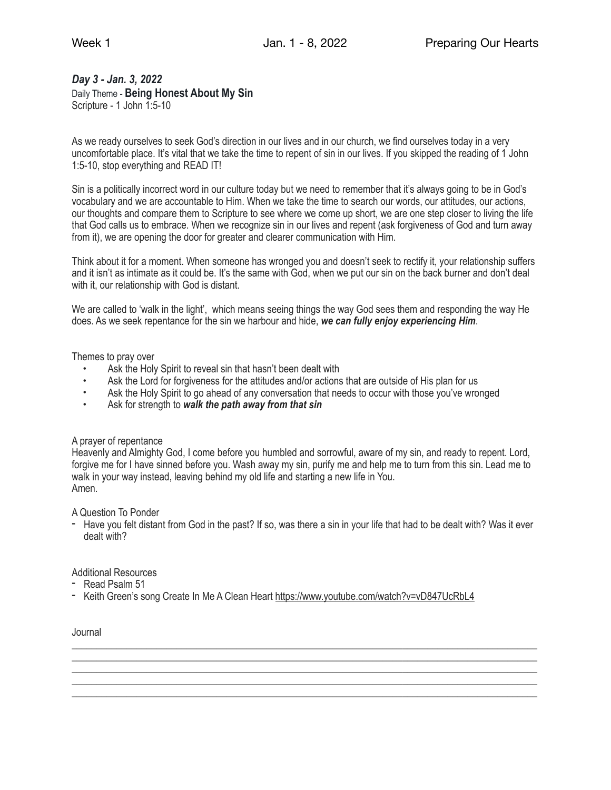# *Day 3 - Jan. 3, 2022*

Daily Theme - **Being Honest About My Sin**  Scripture - 1 John 1:5-10

As we ready ourselves to seek God's direction in our lives and in our church, we find ourselves today in a very uncomfortable place. It's vital that we take the time to repent of sin in our lives. If you skipped the reading of 1 John 1:5-10, stop everything and READ IT!

Sin is a politically incorrect word in our culture today but we need to remember that it's always going to be in God's vocabulary and we are accountable to Him. When we take the time to search our words, our attitudes, our actions, our thoughts and compare them to Scripture to see where we come up short, we are one step closer to living the life that God calls us to embrace. When we recognize sin in our lives and repent (ask forgiveness of God and turn away from it), we are opening the door for greater and clearer communication with Him.

Think about it for a moment. When someone has wronged you and doesn't seek to rectify it, your relationship suffers and it isn't as intimate as it could be. It's the same with God, when we put our sin on the back burner and don't deal with it, our relationship with God is distant.

We are called to 'walk in the light', which means seeing things the way God sees them and responding the way He does. As we seek repentance for the sin we harbour and hide, *we can fully enjoy experiencing Him*.

Themes to pray over

- Ask the Holy Spirit to reveal sin that hasn't been dealt with
- Ask the Lord for forgiveness for the attitudes and/or actions that are outside of His plan for us
- Ask the Holy Spirit to go ahead of any conversation that needs to occur with those you've wronged
- Ask for strength to *walk the path away from that sin*

## A prayer of repentance

Heavenly and Almighty God, I come before you humbled and sorrowful, aware of my sin, and ready to repent. Lord, forgive me for I have sinned before you. Wash away my sin, purify me and help me to turn from this sin. Lead me to walk in your way instead, leaving behind my old life and starting a new life in You. Amen.

A Question To Ponder

- Have you felt distant from God in the past? If so, was there a sin in your life that had to be dealt with? Was it ever dealt with?

\_\_\_\_\_\_\_\_\_\_\_\_\_\_\_\_\_\_\_\_\_\_\_\_\_\_\_\_\_\_\_\_\_\_\_\_\_\_\_\_\_\_\_\_\_\_\_\_\_\_\_\_\_\_\_\_\_\_\_\_\_\_\_\_\_\_\_\_\_\_\_\_\_\_\_\_\_\_\_\_\_\_\_\_\_\_\_\_\_\_\_\_\_ \_\_\_\_\_\_\_\_\_\_\_\_\_\_\_\_\_\_\_\_\_\_\_\_\_\_\_\_\_\_\_\_\_\_\_\_\_\_\_\_\_\_\_\_\_\_\_\_\_\_\_\_\_\_\_\_\_\_\_\_\_\_\_\_\_\_\_\_\_\_\_\_\_\_\_\_\_\_\_\_\_\_\_\_\_\_\_\_\_\_\_\_\_ \_\_\_\_\_\_\_\_\_\_\_\_\_\_\_\_\_\_\_\_\_\_\_\_\_\_\_\_\_\_\_\_\_\_\_\_\_\_\_\_\_\_\_\_\_\_\_\_\_\_\_\_\_\_\_\_\_\_\_\_\_\_\_\_\_\_\_\_\_\_\_\_\_\_\_\_\_\_\_\_\_\_\_\_\_\_\_\_\_\_\_\_\_ \_\_\_\_\_\_\_\_\_\_\_\_\_\_\_\_\_\_\_\_\_\_\_\_\_\_\_\_\_\_\_\_\_\_\_\_\_\_\_\_\_\_\_\_\_\_\_\_\_\_\_\_\_\_\_\_\_\_\_\_\_\_\_\_\_\_\_\_\_\_\_\_\_\_\_\_\_\_\_\_\_\_\_\_\_\_\_\_\_\_\_\_\_ \_\_\_\_\_\_\_\_\_\_\_\_\_\_\_\_\_\_\_\_\_\_\_\_\_\_\_\_\_\_\_\_\_\_\_\_\_\_\_\_\_\_\_\_\_\_\_\_\_\_\_\_\_\_\_\_\_\_\_\_\_\_\_\_\_\_\_\_\_\_\_\_\_\_\_\_\_\_\_\_\_\_\_\_\_\_\_\_\_\_\_\_\_

# Additional Resources

- Read Psalm 51
- Keith Green's song Create In Me A Clean Heart <https://www.youtube.com/watch?v=vD847UcRbL4>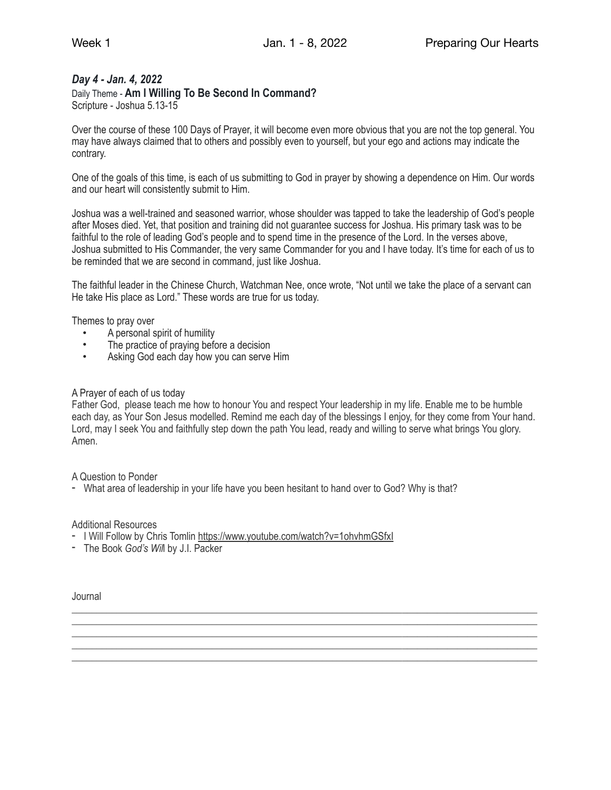## *Day 4 - Jan. 4, 2022*

## Daily Theme - **Am I Willing To Be Second In Command?**

Scripture - Joshua 5.13-15

Over the course of these 100 Days of Prayer, it will become even more obvious that you are not the top general. You may have always claimed that to others and possibly even to yourself, but your ego and actions may indicate the contrary.

One of the goals of this time, is each of us submitting to God in prayer by showing a dependence on Him. Our words and our heart will consistently submit to Him.

Joshua was a well-trained and seasoned warrior, whose shoulder was tapped to take the leadership of God's people after Moses died. Yet, that position and training did not guarantee success for Joshua. His primary task was to be faithful to the role of leading God's people and to spend time in the presence of the Lord. In the verses above, Joshua submitted to His Commander, the very same Commander for you and I have today. It's time for each of us to be reminded that we are second in command, just like Joshua.

The faithful leader in the Chinese Church, Watchman Nee, once wrote, "Not until we take the place of a servant can He take His place as Lord." These words are true for us today.

Themes to pray over

- A personal spirit of humility
- The practice of praying before a decision
- Asking God each day how you can serve Him

#### A Prayer of each of us today

Father God, please teach me how to honour You and respect Your leadership in my life. Enable me to be humble each day, as Your Son Jesus modelled. Remind me each day of the blessings I enjoy, for they come from Your hand. Lord, may I seek You and faithfully step down the path You lead, ready and willing to serve what brings You glory. Amen.

\_\_\_\_\_\_\_\_\_\_\_\_\_\_\_\_\_\_\_\_\_\_\_\_\_\_\_\_\_\_\_\_\_\_\_\_\_\_\_\_\_\_\_\_\_\_\_\_\_\_\_\_\_\_\_\_\_\_\_\_\_\_\_\_\_\_\_\_\_\_\_\_\_\_\_\_\_\_\_\_\_\_\_\_\_\_\_\_\_\_\_\_\_ \_\_\_\_\_\_\_\_\_\_\_\_\_\_\_\_\_\_\_\_\_\_\_\_\_\_\_\_\_\_\_\_\_\_\_\_\_\_\_\_\_\_\_\_\_\_\_\_\_\_\_\_\_\_\_\_\_\_\_\_\_\_\_\_\_\_\_\_\_\_\_\_\_\_\_\_\_\_\_\_\_\_\_\_\_\_\_\_\_\_\_\_\_ \_\_\_\_\_\_\_\_\_\_\_\_\_\_\_\_\_\_\_\_\_\_\_\_\_\_\_\_\_\_\_\_\_\_\_\_\_\_\_\_\_\_\_\_\_\_\_\_\_\_\_\_\_\_\_\_\_\_\_\_\_\_\_\_\_\_\_\_\_\_\_\_\_\_\_\_\_\_\_\_\_\_\_\_\_\_\_\_\_\_\_\_\_ \_\_\_\_\_\_\_\_\_\_\_\_\_\_\_\_\_\_\_\_\_\_\_\_\_\_\_\_\_\_\_\_\_\_\_\_\_\_\_\_\_\_\_\_\_\_\_\_\_\_\_\_\_\_\_\_\_\_\_\_\_\_\_\_\_\_\_\_\_\_\_\_\_\_\_\_\_\_\_\_\_\_\_\_\_\_\_\_\_\_\_\_\_ \_\_\_\_\_\_\_\_\_\_\_\_\_\_\_\_\_\_\_\_\_\_\_\_\_\_\_\_\_\_\_\_\_\_\_\_\_\_\_\_\_\_\_\_\_\_\_\_\_\_\_\_\_\_\_\_\_\_\_\_\_\_\_\_\_\_\_\_\_\_\_\_\_\_\_\_\_\_\_\_\_\_\_\_\_\_\_\_\_\_\_\_\_

A Question to Ponder

- What area of leadership in your life have you been hesitant to hand over to God? Why is that?

Additional Resources

- I Will Follow by Chris Tomlin <https://www.youtube.com/watch?v=1ohvhmGSfxI>
- The Book *God's Wil*l by J.I. Packer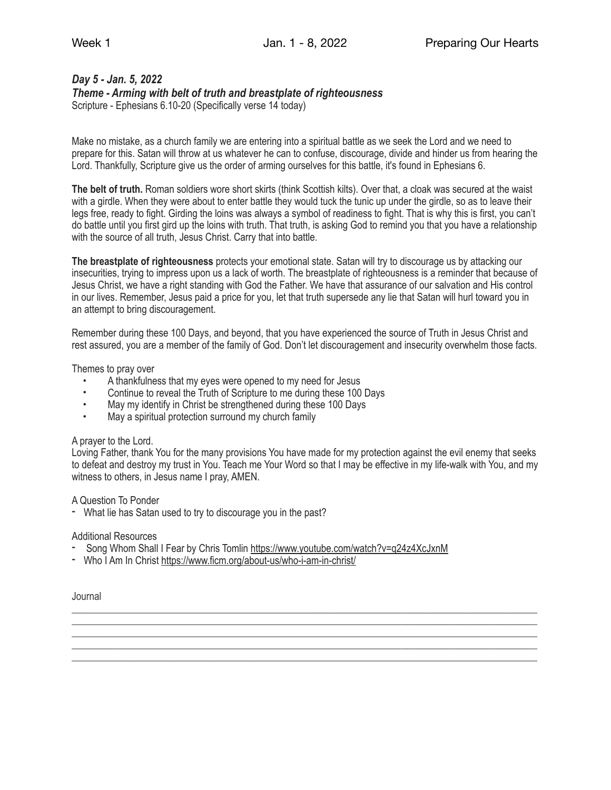# *Day 5 - Jan. 5, 2022*

*Theme - Arming with belt of truth and breastplate of righteousness* 

Scripture - Ephesians 6.10-20 (Specifically verse 14 today)

Make no mistake, as a church family we are entering into a spiritual battle as we seek the Lord and we need to prepare for this. Satan will throw at us whatever he can to confuse, discourage, divide and hinder us from hearing the Lord. Thankfully, Scripture give us the order of arming ourselves for this battle, it's found in Ephesians 6.

**The belt of truth.** Roman soldiers wore short skirts (think Scottish kilts). Over that, a cloak was secured at the waist with a girdle. When they were about to enter battle they would tuck the tunic up under the girdle, so as to leave their legs free, ready to fight. Girding the loins was always a symbol of readiness to fight. That is why this is first, you can't do battle until you first gird up the loins with truth. That truth, is asking God to remind you that you have a relationship with the source of all truth, Jesus Christ. Carry that into battle.

**The breastplate of righteousness** protects your emotional state. Satan will try to discourage us by attacking our insecurities, trying to impress upon us a lack of worth. The breastplate of righteousness is a reminder that because of Jesus Christ, we have a right standing with God the Father. We have that assurance of our salvation and His control in our lives. Remember, Jesus paid a price for you, let that truth supersede any lie that Satan will hurl toward you in an attempt to bring discouragement.

Remember during these 100 Days, and beyond, that you have experienced the source of Truth in Jesus Christ and rest assured, you are a member of the family of God. Don't let discouragement and insecurity overwhelm those facts.

Themes to pray over

- A thankfulness that my eyes were opened to my need for Jesus
- Continue to reveal the Truth of Scripture to me during these 100 Days
- May my identify in Christ be strengthened during these 100 Days
- May a spiritual protection surround my church family

## A prayer to the Lord.

Loving Father, thank You for the many provisions You have made for my protection against the evil enemy that seeks to defeat and destroy my trust in You. Teach me Your Word so that I may be effective in my life-walk with You, and my witness to others, in Jesus name I pray, AMEN.

\_\_\_\_\_\_\_\_\_\_\_\_\_\_\_\_\_\_\_\_\_\_\_\_\_\_\_\_\_\_\_\_\_\_\_\_\_\_\_\_\_\_\_\_\_\_\_\_\_\_\_\_\_\_\_\_\_\_\_\_\_\_\_\_\_\_\_\_\_\_\_\_\_\_\_\_\_\_\_\_\_\_\_\_\_\_\_\_\_\_\_\_\_ \_\_\_\_\_\_\_\_\_\_\_\_\_\_\_\_\_\_\_\_\_\_\_\_\_\_\_\_\_\_\_\_\_\_\_\_\_\_\_\_\_\_\_\_\_\_\_\_\_\_\_\_\_\_\_\_\_\_\_\_\_\_\_\_\_\_\_\_\_\_\_\_\_\_\_\_\_\_\_\_\_\_\_\_\_\_\_\_\_\_\_\_\_ \_\_\_\_\_\_\_\_\_\_\_\_\_\_\_\_\_\_\_\_\_\_\_\_\_\_\_\_\_\_\_\_\_\_\_\_\_\_\_\_\_\_\_\_\_\_\_\_\_\_\_\_\_\_\_\_\_\_\_\_\_\_\_\_\_\_\_\_\_\_\_\_\_\_\_\_\_\_\_\_\_\_\_\_\_\_\_\_\_\_\_\_\_ \_\_\_\_\_\_\_\_\_\_\_\_\_\_\_\_\_\_\_\_\_\_\_\_\_\_\_\_\_\_\_\_\_\_\_\_\_\_\_\_\_\_\_\_\_\_\_\_\_\_\_\_\_\_\_\_\_\_\_\_\_\_\_\_\_\_\_\_\_\_\_\_\_\_\_\_\_\_\_\_\_\_\_\_\_\_\_\_\_\_\_\_\_ \_\_\_\_\_\_\_\_\_\_\_\_\_\_\_\_\_\_\_\_\_\_\_\_\_\_\_\_\_\_\_\_\_\_\_\_\_\_\_\_\_\_\_\_\_\_\_\_\_\_\_\_\_\_\_\_\_\_\_\_\_\_\_\_\_\_\_\_\_\_\_\_\_\_\_\_\_\_\_\_\_\_\_\_\_\_\_\_\_\_\_\_\_

A Question To Ponder

- What lie has Satan used to try to discourage you in the past?

## Additional Resources

- Song Whom Shall I Fear by Chris Tomlin<https://www.youtube.com/watch?v=q24z4XcJxnM>
- Who I Am In Christ <https://www.ficm.org/about-us/who-i-am-in-christ/>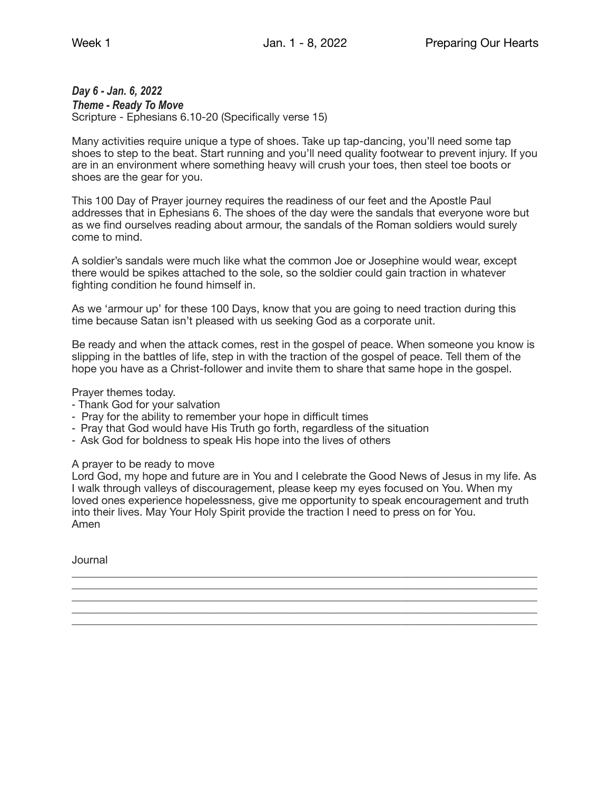# *Day 6 - Jan. 6, 2022*

*Theme - Ready To Move*  Scripture - Ephesians 6.10-20 (Specifically verse 15)

Many activities require unique a type of shoes. Take up tap-dancing, you'll need some tap shoes to step to the beat. Start running and you'll need quality footwear to prevent injury. If you are in an environment where something heavy will crush your toes, then steel toe boots or shoes are the gear for you.

This 100 Day of Prayer journey requires the readiness of our feet and the Apostle Paul addresses that in Ephesians 6. The shoes of the day were the sandals that everyone wore but as we find ourselves reading about armour, the sandals of the Roman soldiers would surely come to mind.

A soldier's sandals were much like what the common Joe or Josephine would wear, except there would be spikes attached to the sole, so the soldier could gain traction in whatever fighting condition he found himself in.

As we 'armour up' for these 100 Days, know that you are going to need traction during this time because Satan isn't pleased with us seeking God as a corporate unit.

Be ready and when the attack comes, rest in the gospel of peace. When someone you know is slipping in the battles of life, step in with the traction of the gospel of peace. Tell them of the hope you have as a Christ-follower and invite them to share that same hope in the gospel.

Prayer themes today.

- ⁃ Thank God for your salvation
- ⁃ Pray for the ability to remember your hope in difficult times
- Pray that God would have His Truth go forth, regardless of the situation
- ⁃ Ask God for boldness to speak His hope into the lives of others

A prayer to be ready to move

Lord God, my hope and future are in You and I celebrate the Good News of Jesus in my life. As I walk through valleys of discouragement, please keep my eyes focused on You. When my loved ones experience hopelessness, give me opportunity to speak encouragement and truth into their lives. May Your Holy Spirit provide the traction I need to press on for You. Amen

\_\_\_\_\_\_\_\_\_\_\_\_\_\_\_\_\_\_\_\_\_\_\_\_\_\_\_\_\_\_\_\_\_\_\_\_\_\_\_\_\_\_\_\_\_\_\_\_\_\_\_\_\_\_\_\_\_\_\_\_\_\_\_\_\_\_\_\_\_\_\_\_\_\_\_\_\_\_\_\_\_\_\_\_\_\_\_\_\_\_\_\_\_ \_\_\_\_\_\_\_\_\_\_\_\_\_\_\_\_\_\_\_\_\_\_\_\_\_\_\_\_\_\_\_\_\_\_\_\_\_\_\_\_\_\_\_\_\_\_\_\_\_\_\_\_\_\_\_\_\_\_\_\_\_\_\_\_\_\_\_\_\_\_\_\_\_\_\_\_\_\_\_\_\_\_\_\_\_\_\_\_\_\_\_\_\_ \_\_\_\_\_\_\_\_\_\_\_\_\_\_\_\_\_\_\_\_\_\_\_\_\_\_\_\_\_\_\_\_\_\_\_\_\_\_\_\_\_\_\_\_\_\_\_\_\_\_\_\_\_\_\_\_\_\_\_\_\_\_\_\_\_\_\_\_\_\_\_\_\_\_\_\_\_\_\_\_\_\_\_\_\_\_\_\_\_\_\_\_\_ \_\_\_\_\_\_\_\_\_\_\_\_\_\_\_\_\_\_\_\_\_\_\_\_\_\_\_\_\_\_\_\_\_\_\_\_\_\_\_\_\_\_\_\_\_\_\_\_\_\_\_\_\_\_\_\_\_\_\_\_\_\_\_\_\_\_\_\_\_\_\_\_\_\_\_\_\_\_\_\_\_\_\_\_\_\_\_\_\_\_\_\_\_ \_\_\_\_\_\_\_\_\_\_\_\_\_\_\_\_\_\_\_\_\_\_\_\_\_\_\_\_\_\_\_\_\_\_\_\_\_\_\_\_\_\_\_\_\_\_\_\_\_\_\_\_\_\_\_\_\_\_\_\_\_\_\_\_\_\_\_\_\_\_\_\_\_\_\_\_\_\_\_\_\_\_\_\_\_\_\_\_\_\_\_\_\_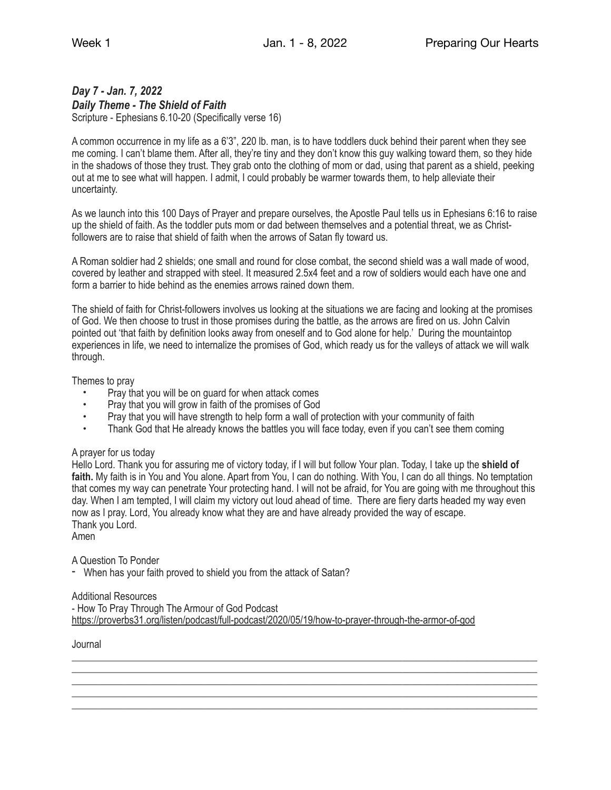# *Day 7 - Jan. 7, 2022 Daily Theme - The Shield of Faith*

Scripture - Ephesians 6.10-20 (Specifically verse 16)

A common occurrence in my life as a 6'3", 220 lb. man, is to have toddlers duck behind their parent when they see me coming. I can't blame them. After all, they're tiny and they don't know this guy walking toward them, so they hide in the shadows of those they trust. They grab onto the clothing of mom or dad, using that parent as a shield, peeking out at me to see what will happen. I admit, I could probably be warmer towards them, to help alleviate their uncertainty.

As we launch into this 100 Days of Prayer and prepare ourselves, the Apostle Paul tells us in Ephesians 6:16 to raise up the shield of faith. As the toddler puts mom or dad between themselves and a potential threat, we as Christfollowers are to raise that shield of faith when the arrows of Satan fly toward us.

A Roman soldier had 2 shields; one small and round for close combat, the second shield was a wall made of wood, covered by leather and strapped with steel. It measured 2.5x4 feet and a row of soldiers would each have one and form a barrier to hide behind as the enemies arrows rained down them.

The shield of faith for Christ-followers involves us looking at the situations we are facing and looking at the promises of God. We then choose to trust in those promises during the battle, as the arrows are fired on us. John Calvin pointed out 'that faith by definition looks away from oneself and to God alone for help.' During the mountaintop experiences in life, we need to internalize the promises of God, which ready us for the valleys of attack we will walk through.

Themes to pray

- Pray that you will be on guard for when attack comes
- Pray that you will grow in faith of the promises of God
- Pray that you will have strength to help form a wall of protection with your community of faith<br>• Thank God that He already knows the battles you will face today even if you can't see them
- Thank God that He already knows the battles you will face today, even if you can't see them coming

## A prayer for us today

Hello Lord. Thank you for assuring me of victory today, if I will but follow Your plan. Today, I take up the **shield of**  faith. My faith is in You and You alone. Apart from You, I can do nothing. With You, I can do all things. No temptation that comes my way can penetrate Your protecting hand. I will not be afraid, for You are going with me throughout this day. When I am tempted, I will claim my victory out loud ahead of time. There are fiery darts headed my way even now as I pray. Lord, You already know what they are and have already provided the way of escape. Thank you Lord.

\_\_\_\_\_\_\_\_\_\_\_\_\_\_\_\_\_\_\_\_\_\_\_\_\_\_\_\_\_\_\_\_\_\_\_\_\_\_\_\_\_\_\_\_\_\_\_\_\_\_\_\_\_\_\_\_\_\_\_\_\_\_\_\_\_\_\_\_\_\_\_\_\_\_\_\_\_\_\_\_\_\_\_\_\_\_\_\_\_\_\_\_\_ \_\_\_\_\_\_\_\_\_\_\_\_\_\_\_\_\_\_\_\_\_\_\_\_\_\_\_\_\_\_\_\_\_\_\_\_\_\_\_\_\_\_\_\_\_\_\_\_\_\_\_\_\_\_\_\_\_\_\_\_\_\_\_\_\_\_\_\_\_\_\_\_\_\_\_\_\_\_\_\_\_\_\_\_\_\_\_\_\_\_\_\_\_ \_\_\_\_\_\_\_\_\_\_\_\_\_\_\_\_\_\_\_\_\_\_\_\_\_\_\_\_\_\_\_\_\_\_\_\_\_\_\_\_\_\_\_\_\_\_\_\_\_\_\_\_\_\_\_\_\_\_\_\_\_\_\_\_\_\_\_\_\_\_\_\_\_\_\_\_\_\_\_\_\_\_\_\_\_\_\_\_\_\_\_\_\_ \_\_\_\_\_\_\_\_\_\_\_\_\_\_\_\_\_\_\_\_\_\_\_\_\_\_\_\_\_\_\_\_\_\_\_\_\_\_\_\_\_\_\_\_\_\_\_\_\_\_\_\_\_\_\_\_\_\_\_\_\_\_\_\_\_\_\_\_\_\_\_\_\_\_\_\_\_\_\_\_\_\_\_\_\_\_\_\_\_\_\_\_\_ \_\_\_\_\_\_\_\_\_\_\_\_\_\_\_\_\_\_\_\_\_\_\_\_\_\_\_\_\_\_\_\_\_\_\_\_\_\_\_\_\_\_\_\_\_\_\_\_\_\_\_\_\_\_\_\_\_\_\_\_\_\_\_\_\_\_\_\_\_\_\_\_\_\_\_\_\_\_\_\_\_\_\_\_\_\_\_\_\_\_\_\_\_

Amen

A Question To Ponder

- When has your faith proved to shield you from the attack of Satan?

## Additional Resources

- How To Pray Through The Armour of God Podcast <https://proverbs31.org/listen/podcast/full-podcast/2020/05/19/how-to-prayer-through-the-armor-of-god>